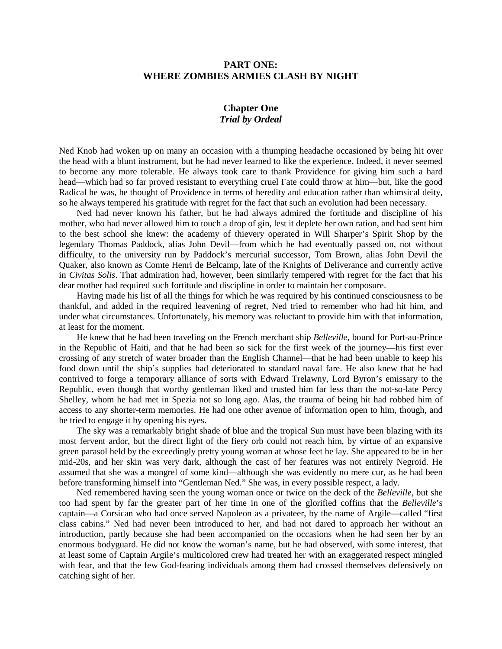## **PART ONE: WHERE ZOMBIES ARMIES CLASH BY NIGHT**

## **Chapter One** *Trial by Ordeal*

Ned Knob had woken up on many an occasion with a thumping headache occasioned by being hit over the head with a blunt instrument, but he had never learned to like the experience. Indeed, it never seemed to become any more tolerable. He always took care to thank Providence for giving him such a hard head—which had so far proved resistant to everything cruel Fate could throw at him—but, like the good Radical he was, he thought of Providence in terms of heredity and education rather than whimsical deity, so he always tempered his gratitude with regret for the fact that such an evolution had been necessary.

Ned had never known his father, but he had always admired the fortitude and discipline of his mother, who had never allowed him to touch a drop of gin, lest it deplete her own ration, and had sent him to the best school she knew: the academy of thievery operated in Will Sharper's Spirit Shop by the legendary Thomas Paddock, alias John Devil—from which he had eventually passed on, not without difficulty, to the university run by Paddock's mercurial successor, Tom Brown, alias John Devil the Quaker, also known as Comte Henri de Belcamp, late of the Knights of Deliverance and currently active in *Civitas Solis*. That admiration had, however, been similarly tempered with regret for the fact that his dear mother had required such fortitude and discipline in order to maintain her composure.

Having made his list of all the things for which he was required by his continued consciousness to be thankful, and added in the required leavening of regret, Ned tried to remember who had hit him, and under what circumstances. Unfortunately, his memory was reluctant to provide him with that information, at least for the moment.

He knew that he had been traveling on the French merchant ship *Belleville*, bound for Port-au-Prince in the Republic of Haiti, and that he had been so sick for the first week of the journey—his first ever crossing of any stretch of water broader than the English Channel—that he had been unable to keep his food down until the ship's supplies had deteriorated to standard naval fare. He also knew that he had contrived to forge a temporary alliance of sorts with Edward Trelawny, Lord Byron's emissary to the Republic, even though that worthy gentleman liked and trusted him far less than the not-so-late Percy Shelley, whom he had met in Spezia not so long ago. Alas, the trauma of being hit had robbed him of access to any shorter-term memories. He had one other avenue of information open to him, though, and he tried to engage it by opening his eyes.

The sky was a remarkably bright shade of blue and the tropical Sun must have been blazing with its most fervent ardor, but the direct light of the fiery orb could not reach him, by virtue of an expansive green parasol held by the exceedingly pretty young woman at whose feet he lay. She appeared to be in her mid-20s, and her skin was very dark, although the cast of her features was not entirely Negroid. He assumed that she was a mongrel of some kind—although she was evidently no mere cur, as he had been before transforming himself into "Gentleman Ned." She was, in every possible respect, a lady.

Ned remembered having seen the young woman once or twice on the deck of the *Belleville*, but she too had spent by far the greater part of her time in one of the glorified coffins that the *Belleville*'s captain—a Corsican who had once served Napoleon as a privateer, by the name of Argile—called "first class cabins." Ned had never been introduced to her, and had not dared to approach her without an introduction, partly because she had been accompanied on the occasions when he had seen her by an enormous bodyguard. He did not know the woman's name, but he had observed, with some interest, that at least some of Captain Argile's multicolored crew had treated her with an exaggerated respect mingled with fear, and that the few God-fearing individuals among them had crossed themselves defensively on catching sight of her.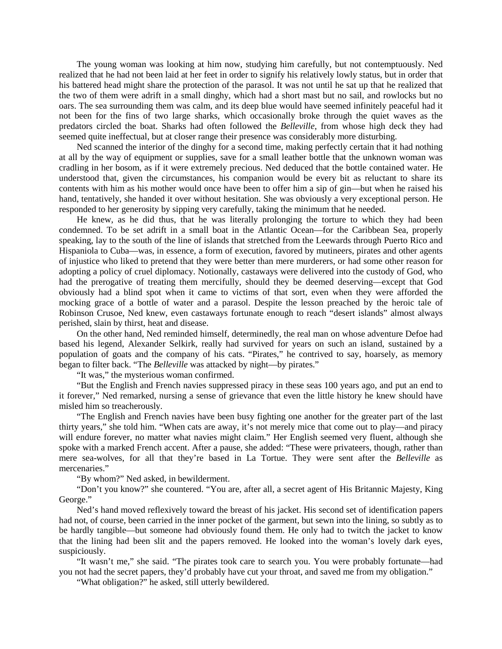The young woman was looking at him now, studying him carefully, but not contemptuously. Ned realized that he had not been laid at her feet in order to signify his relatively lowly status, but in order that his battered head might share the protection of the parasol. It was not until he sat up that he realized that the two of them were adrift in a small dinghy, which had a short mast but no sail, and rowlocks but no oars. The sea surrounding them was calm, and its deep blue would have seemed infinitely peaceful had it not been for the fins of two large sharks, which occasionally broke through the quiet waves as the predators circled the boat. Sharks had often followed the *Belleville*, from whose high deck they had seemed quite ineffectual, but at closer range their presence was considerably more disturbing.

Ned scanned the interior of the dinghy for a second time, making perfectly certain that it had nothing at all by the way of equipment or supplies, save for a small leather bottle that the unknown woman was cradling in her bosom, as if it were extremely precious. Ned deduced that the bottle contained water. He understood that, given the circumstances, his companion would be every bit as reluctant to share its contents with him as his mother would once have been to offer him a sip of gin—but when he raised his hand, tentatively, she handed it over without hesitation. She was obviously a very exceptional person. He responded to her generosity by sipping very carefully, taking the minimum that he needed.

He knew, as he did thus, that he was literally prolonging the torture to which they had been condemned. To be set adrift in a small boat in the Atlantic Ocean—for the Caribbean Sea, properly speaking, lay to the south of the line of islands that stretched from the Leewards through Puerto Rico and Hispaniola to Cuba—was, in essence, a form of execution, favored by mutineers, pirates and other agents of injustice who liked to pretend that they were better than mere murderers, or had some other reason for adopting a policy of cruel diplomacy. Notionally, castaways were delivered into the custody of God, who had the prerogative of treating them mercifully, should they be deemed deserving—except that God obviously had a blind spot when it came to victims of that sort, even when they were afforded the mocking grace of a bottle of water and a parasol. Despite the lesson preached by the heroic tale of Robinson Crusoe, Ned knew, even castaways fortunate enough to reach "desert islands" almost always perished, slain by thirst, heat and disease.

On the other hand, Ned reminded himself, determinedly, the real man on whose adventure Defoe had based his legend, Alexander Selkirk, really had survived for years on such an island, sustained by a population of goats and the company of his cats. "Pirates," he contrived to say, hoarsely, as memory began to filter back. "The *Belleville* was attacked by night—by pirates."

"It was," the mysterious woman confirmed.

"But the English and French navies suppressed piracy in these seas 100 years ago, and put an end to it forever," Ned remarked, nursing a sense of grievance that even the little history he knew should have misled him so treacherously.

"The English and French navies have been busy fighting one another for the greater part of the last thirty years," she told him. "When cats are away, it's not merely mice that come out to play—and piracy will endure forever, no matter what navies might claim." Her English seemed very fluent, although she spoke with a marked French accent. After a pause, she added: "These were privateers, though, rather than mere sea-wolves, for all that they're based in La Tortue. They were sent after the *Belleville* as mercenaries."

"By whom?" Ned asked, in bewilderment.

"Don't you know?" she countered. "You are, after all, a secret agent of His Britannic Majesty, King George."

Ned's hand moved reflexively toward the breast of his jacket. His second set of identification papers had not, of course, been carried in the inner pocket of the garment, but sewn into the lining, so subtly as to be hardly tangible—but someone had obviously found them. He only had to twitch the jacket to know that the lining had been slit and the papers removed. He looked into the woman's lovely dark eyes, suspiciously.

"It wasn't me," she said. "The pirates took care to search you. You were probably fortunate—had you not had the secret papers, they'd probably have cut your throat, and saved me from my obligation."

"What obligation?" he asked, still utterly bewildered.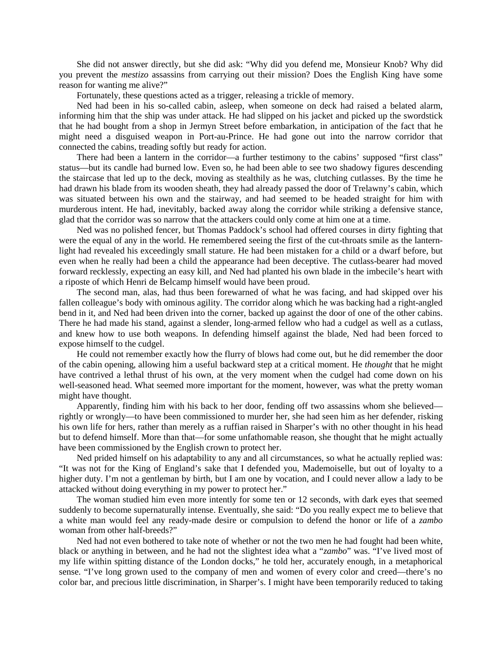She did not answer directly, but she did ask: "Why did you defend me, Monsieur Knob? Why did you prevent the *mestizo* assassins from carrying out their mission? Does the English King have some reason for wanting me alive?"

Fortunately, these questions acted as a trigger, releasing a trickle of memory.

Ned had been in his so-called cabin, asleep, when someone on deck had raised a belated alarm, informing him that the ship was under attack. He had slipped on his jacket and picked up the swordstick that he had bought from a shop in Jermyn Street before embarkation, in anticipation of the fact that he might need a disguised weapon in Port-au-Prince. He had gone out into the narrow corridor that connected the cabins, treading softly but ready for action.

There had been a lantern in the corridor—a further testimony to the cabins' supposed "first class" status—but its candle had burned low. Even so, he had been able to see two shadowy figures descending the staircase that led up to the deck, moving as stealthily as he was, clutching cutlasses. By the time he had drawn his blade from its wooden sheath, they had already passed the door of Trelawny's cabin, which was situated between his own and the stairway, and had seemed to be headed straight for him with murderous intent. He had, inevitably, backed away along the corridor while striking a defensive stance, glad that the corridor was so narrow that the attackers could only come at him one at a time.

Ned was no polished fencer, but Thomas Paddock's school had offered courses in dirty fighting that were the equal of any in the world. He remembered seeing the first of the cut-throats smile as the lanternlight had revealed his exceedingly small stature. He had been mistaken for a child or a dwarf before, but even when he really had been a child the appearance had been deceptive. The cutlass-bearer had moved forward recklessly, expecting an easy kill, and Ned had planted his own blade in the imbecile's heart with a riposte of which Henri de Belcamp himself would have been proud.

The second man, alas, had thus been forewarned of what he was facing, and had skipped over his fallen colleague's body with ominous agility. The corridor along which he was backing had a right-angled bend in it, and Ned had been driven into the corner, backed up against the door of one of the other cabins. There he had made his stand, against a slender, long-armed fellow who had a cudgel as well as a cutlass, and knew how to use both weapons. In defending himself against the blade, Ned had been forced to expose himself to the cudgel.

He could not remember exactly how the flurry of blows had come out, but he did remember the door of the cabin opening, allowing him a useful backward step at a critical moment. He *thought* that he might have contrived a lethal thrust of his own, at the very moment when the cudgel had come down on his well-seasoned head. What seemed more important for the moment, however, was what the pretty woman might have thought.

Apparently, finding him with his back to her door, fending off two assassins whom she believed rightly or wrongly—to have been commissioned to murder her, she had seen him as her defender, risking his own life for hers, rather than merely as a ruffian raised in Sharper's with no other thought in his head but to defend himself. More than that—for some unfathomable reason, she thought that he might actually have been commissioned by the English crown to protect her.

Ned prided himself on his adaptability to any and all circumstances, so what he actually replied was: "It was not for the King of England's sake that I defended you, Mademoiselle, but out of loyalty to a higher duty. I'm not a gentleman by birth, but I am one by vocation, and I could never allow a lady to be attacked without doing everything in my power to protect her."

The woman studied him even more intently for some ten or 12 seconds, with dark eyes that seemed suddenly to become supernaturally intense. Eventually, she said: "Do you really expect me to believe that a white man would feel any ready-made desire or compulsion to defend the honor or life of a *zambo* woman from other half-breeds?"

Ned had not even bothered to take note of whether or not the two men he had fought had been white, black or anything in between, and he had not the slightest idea what a "*zambo*" was. "I've lived most of my life within spitting distance of the London docks," he told her, accurately enough, in a metaphorical sense. "I've long grown used to the company of men and women of every color and creed—there's no color bar, and precious little discrimination, in Sharper's. I might have been temporarily reduced to taking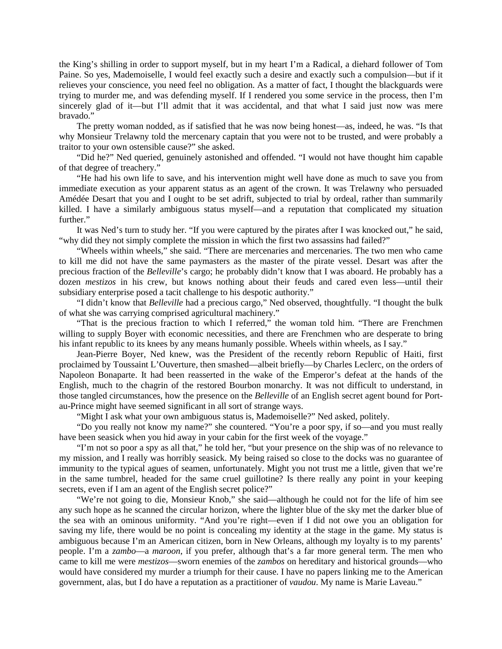the King's shilling in order to support myself, but in my heart I'm a Radical, a diehard follower of Tom Paine. So yes, Mademoiselle, I would feel exactly such a desire and exactly such a compulsion—but if it relieves your conscience, you need feel no obligation. As a matter of fact, I thought the blackguards were trying to murder me, and was defending myself. If I rendered you some service in the process, then I'm sincerely glad of it—but I'll admit that it was accidental, and that what I said just now was mere bravado."

The pretty woman nodded, as if satisfied that he was now being honest—as, indeed, he was. "Is that why Monsieur Trelawny told the mercenary captain that you were not to be trusted, and were probably a traitor to your own ostensible cause?" she asked.

"Did he?" Ned queried, genuinely astonished and offended. "I would not have thought him capable of that degree of treachery."

"He had his own life to save, and his intervention might well have done as much to save you from immediate execution as your apparent status as an agent of the crown. It was Trelawny who persuaded Amédée Desart that you and I ought to be set adrift, subjected to trial by ordeal, rather than summarily killed. I have a similarly ambiguous status myself—and a reputation that complicated my situation further."

It was Ned's turn to study her. "If you were captured by the pirates after I was knocked out," he said, "why did they not simply complete the mission in which the first two assassins had failed?"

"Wheels within wheels," she said. "There are mercenaries and mercenaries. The two men who came to kill me did not have the same paymasters as the master of the pirate vessel. Desart was after the precious fraction of the *Belleville*'s cargo; he probably didn't know that I was aboard. He probably has a dozen *mestizos* in his crew, but knows nothing about their feuds and cared even less—until their subsidiary enterprise posed a tacit challenge to his despotic authority."

"I didn't know that *Belleville* had a precious cargo," Ned observed, thoughtfully. "I thought the bulk of what she was carrying comprised agricultural machinery."

"That is the precious fraction to which I referred," the woman told him. "There are Frenchmen willing to supply Boyer with economic necessities, and there are Frenchmen who are desperate to bring his infant republic to its knees by any means humanly possible. Wheels within wheels, as I say."

Jean-Pierre Boyer, Ned knew, was the President of the recently reborn Republic of Haiti, first proclaimed by Toussaint L'Ouverture, then smashed—albeit briefly—by Charles Leclerc, on the orders of Napoleon Bonaparte. It had been reasserted in the wake of the Emperor's defeat at the hands of the English, much to the chagrin of the restored Bourbon monarchy. It was not difficult to understand, in those tangled circumstances, how the presence on the *Belleville* of an English secret agent bound for Portau-Prince might have seemed significant in all sort of strange ways.

"Might I ask what your own ambiguous status is, Mademoiselle?" Ned asked, politely.

"Do you really not know my name?" she countered. "You're a poor spy, if so—and you must really have been seasick when you hid away in your cabin for the first week of the voyage."

"I'm not so poor a spy as all that," he told her, "but your presence on the ship was of no relevance to my mission, and I really was horribly seasick. My being raised so close to the docks was no guarantee of immunity to the typical agues of seamen, unfortunately. Might you not trust me a little, given that we're in the same tumbrel, headed for the same cruel guillotine? Is there really any point in your keeping secrets, even if I am an agent of the English secret police?"

"We're not going to die, Monsieur Knob," she said—although he could not for the life of him see any such hope as he scanned the circular horizon, where the lighter blue of the sky met the darker blue of the sea with an ominous uniformity. "And you're right—even if I did not owe you an obligation for saving my life, there would be no point is concealing my identity at the stage in the game. My status is ambiguous because I'm an American citizen, born in New Orleans, although my loyalty is to my parents' people. I'm a *zambo*—a *maroon*, if you prefer, although that's a far more general term. The men who came to kill me were *mestizos*—sworn enemies of the *zambos* on hereditary and historical grounds—who would have considered my murder a triumph for their cause. I have no papers linking me to the American government, alas, but I do have a reputation as a practitioner of *vaudou*. My name is Marie Laveau."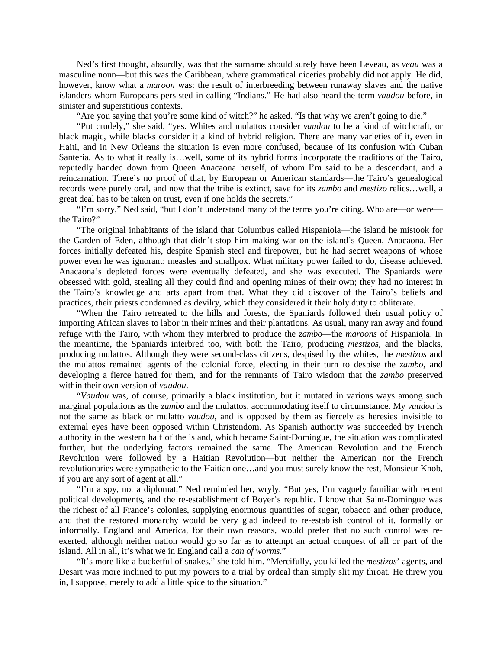Ned's first thought, absurdly, was that the surname should surely have been Leveau, as *veau* was a masculine noun—but this was the Caribbean, where grammatical niceties probably did not apply. He did, however, know what a *maroon* was: the result of interbreeding between runaway slaves and the native islanders whom Europeans persisted in calling "Indians." He had also heard the term *vaudou* before, in sinister and superstitious contexts.

"Are you saying that you're some kind of witch?" he asked. "Is that why we aren't going to die."

"Put crudely," she said, "yes. Whites and mulattos consider *vaudou* to be a kind of witchcraft, or black magic, while blacks consider it a kind of hybrid religion. There are many varieties of it, even in Haiti, and in New Orleans the situation is even more confused, because of its confusion with Cuban Santeria. As to what it really is…well, some of its hybrid forms incorporate the traditions of the Tairo, reputedly handed down from Queen Anacaona herself, of whom I'm said to be a descendant, and a reincarnation. There's no proof of that, by European or American standards—the Tairo's genealogical records were purely oral, and now that the tribe is extinct, save for its *zambo* and *mestizo* relics…well, a great deal has to be taken on trust, even if one holds the secrets."

"I'm sorry," Ned said, "but I don't understand many of the terms you're citing. Who are—or were the Tairo?"

"The original inhabitants of the island that Columbus called Hispaniola—the island he mistook for the Garden of Eden, although that didn't stop him making war on the island's Queen, Anacaona. Her forces initially defeated his, despite Spanish steel and firepower, but he had secret weapons of whose power even he was ignorant: measles and smallpox. What military power failed to do, disease achieved. Anacaona's depleted forces were eventually defeated, and she was executed. The Spaniards were obsessed with gold, stealing all they could find and opening mines of their own; they had no interest in the Tairo's knowledge and arts apart from that. What they did discover of the Tairo's beliefs and practices, their priests condemned as devilry, which they considered it their holy duty to obliterate.

"When the Tairo retreated to the hills and forests, the Spaniards followed their usual policy of importing African slaves to labor in their mines and their plantations. As usual, many ran away and found refuge with the Tairo, with whom they interbred to produce the *zambo*—the *maroons* of Hispaniola. In the meantime, the Spaniards interbred too, with both the Tairo, producing *mestizos*, and the blacks, producing mulattos. Although they were second-class citizens, despised by the whites, the *mestizos* and the mulattos remained agents of the colonial force, electing in their turn to despise the *zambo*, and developing a fierce hatred for them, and for the remnants of Tairo wisdom that the *zambo* preserved within their own version of *vaudou*.

"*Vaudou* was, of course, primarily a black institution, but it mutated in various ways among such marginal populations as the *zambo* and the mulattos, accommodating itself to circumstance. My *vaudou* is not the same as black or mulatto *vaudou*, and is opposed by them as fiercely as heresies invisible to external eyes have been opposed within Christendom. As Spanish authority was succeeded by French authority in the western half of the island, which became Saint-Domingue, the situation was complicated further, but the underlying factors remained the same. The American Revolution and the French Revolution were followed by a Haitian Revolution—but neither the American nor the French revolutionaries were sympathetic to the Haitian one…and you must surely know the rest, Monsieur Knob, if you are any sort of agent at all."

"I'm a spy, not a diplomat," Ned reminded her, wryly. "But yes, I'm vaguely familiar with recent political developments, and the re-establishment of Boyer's republic. I know that Saint-Domingue was the richest of all France's colonies, supplying enormous quantities of sugar, tobacco and other produce, and that the restored monarchy would be very glad indeed to re-establish control of it, formally or informally. England and America, for their own reasons, would prefer that no such control was reexerted, although neither nation would go so far as to attempt an actual conquest of all or part of the island. All in all, it's what we in England call a *can of worms*."

"It's more like a bucketful of snakes," she told him. "Mercifully, you killed the *mestizos*' agents, and Desart was more inclined to put my powers to a trial by ordeal than simply slit my throat. He threw you in, I suppose, merely to add a little spice to the situation."